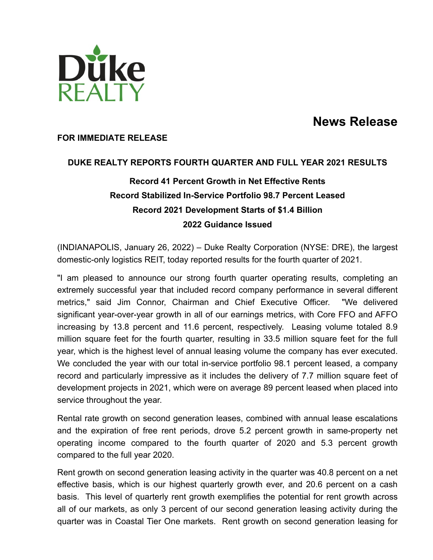

# **News Release**

#### **FOR IMMEDIATE RELEASE**

# **DUKE REALTY REPORTS FOURTH QUARTER AND FULL YEAR 2021 RESULTS Record 41 Percent Growth in Net Effective Rents Record Stabilized In-Service Portfolio 98.7 Percent Leased Record 2021 Development Starts of \$1.4 Billion 2022 Guidance Issued**

(INDIANAPOLIS, January 26, 2022) – Duke Realty Corporation (NYSE: DRE), the largest domestic-only logistics REIT, today reported results for the fourth quarter of 2021.

"I am pleased to announce our strong fourth quarter operating results, completing an extremely successful year that included record company performance in several different metrics," said Jim Connor, Chairman and Chief Executive Officer. "We delivered significant year-over-year growth in all of our earnings metrics, with Core FFO and AFFO increasing by 13.8 percent and 11.6 percent, respectively. Leasing volume totaled 8.9 million square feet for the fourth quarter, resulting in 33.5 million square feet for the full year, which is the highest level of annual leasing volume the company has ever executed. We concluded the year with our total in-service portfolio 98.1 percent leased, a company record and particularly impressive as it includes the delivery of 7.7 million square feet of development projects in 2021, which were on average 89 percent leased when placed into service throughout the year.

Rental rate growth on second generation leases, combined with annual lease escalations and the expiration of free rent periods, drove 5.2 percent growth in same-property net operating income compared to the fourth quarter of 2020 and 5.3 percent growth compared to the full year 2020.

Rent growth on second generation leasing activity in the quarter was 40.8 percent on a net effective basis, which is our highest quarterly growth ever, and 20.6 percent on a cash basis. This level of quarterly rent growth exemplifies the potential for rent growth across all of our markets, as only 3 percent of our second generation leasing activity during the quarter was in Coastal Tier One markets. Rent growth on second generation leasing for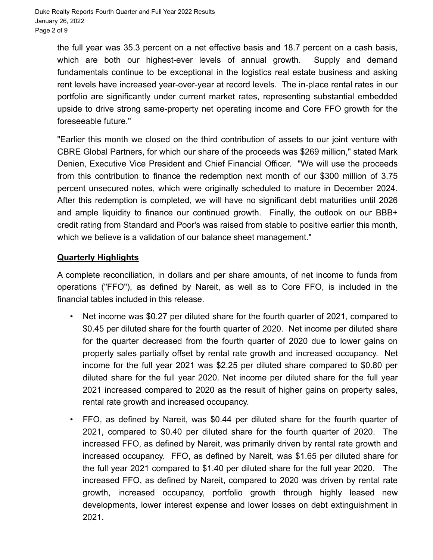the full year was 35.3 percent on a net effective basis and 18.7 percent on a cash basis, which are both our highest-ever levels of annual growth. Supply and demand fundamentals continue to be exceptional in the logistics real estate business and asking rent levels have increased year-over-year at record levels. The in-place rental rates in our portfolio are significantly under current market rates, representing substantial embedded upside to drive strong same-property net operating income and Core FFO growth for the foreseeable future."

"Earlier this month we closed on the third contribution of assets to our joint venture with CBRE Global Partners, for which our share of the proceeds was \$269 million," stated Mark Denien, Executive Vice President and Chief Financial Officer. "We will use the proceeds from this contribution to finance the redemption next month of our \$300 million of 3.75 percent unsecured notes, which were originally scheduled to mature in December 2024. After this redemption is completed, we will have no significant debt maturities until 2026 and ample liquidity to finance our continued growth. Finally, the outlook on our BBB+ credit rating from Standard and Poor's was raised from stable to positive earlier this month, which we believe is a validation of our balance sheet management."

## **Quarterly Highlights**

A complete reconciliation, in dollars and per share amounts, of net income to funds from operations ("FFO"), as defined by Nareit, as well as to Core FFO, is included in the financial tables included in this release.

- Net income was \$0.27 per diluted share for the fourth quarter of 2021, compared to \$0.45 per diluted share for the fourth quarter of 2020. Net income per diluted share for the quarter decreased from the fourth quarter of 2020 due to lower gains on property sales partially offset by rental rate growth and increased occupancy. Net income for the full year 2021 was \$2.25 per diluted share compared to \$0.80 per diluted share for the full year 2020. Net income per diluted share for the full year 2021 increased compared to 2020 as the result of higher gains on property sales, rental rate growth and increased occupancy.
- FFO, as defined by Nareit, was \$0.44 per diluted share for the fourth quarter of 2021, compared to \$0.40 per diluted share for the fourth quarter of 2020. The increased FFO, as defined by Nareit, was primarily driven by rental rate growth and increased occupancy. FFO, as defined by Nareit, was \$1.65 per diluted share for the full year 2021 compared to \$1.40 per diluted share for the full year 2020. The increased FFO, as defined by Nareit, compared to 2020 was driven by rental rate growth, increased occupancy, portfolio growth through highly leased new developments, lower interest expense and lower losses on debt extinguishment in 2021.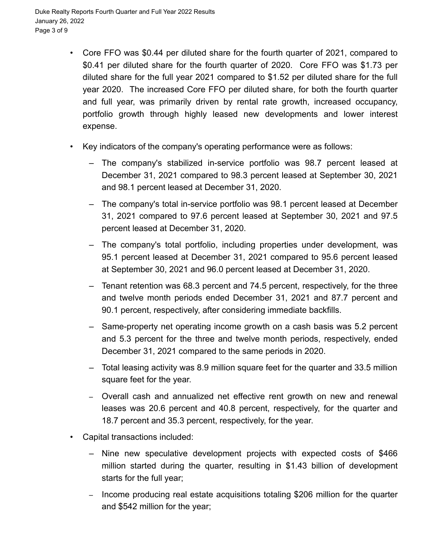- Core FFO was \$0.44 per diluted share for the fourth quarter of 2021, compared to \$0.41 per diluted share for the fourth quarter of 2020. Core FFO was \$1.73 per diluted share for the full year 2021 compared to \$1.52 per diluted share for the full year 2020. The increased Core FFO per diluted share, for both the fourth quarter and full year, was primarily driven by rental rate growth, increased occupancy, portfolio growth through highly leased new developments and lower interest expense.
- Key indicators of the company's operating performance were as follows:
	- The company's stabilized in-service portfolio was 98.7 percent leased at December 31, 2021 compared to 98.3 percent leased at September 30, 2021 and 98.1 percent leased at December 31, 2020.
	- The company's total in-service portfolio was 98.1 percent leased at December 31, 2021 compared to 97.6 percent leased at September 30, 2021 and 97.5 percent leased at December 31, 2020.
	- The company's total portfolio, including properties under development, was 95.1 percent leased at December 31, 2021 compared to 95.6 percent leased at September 30, 2021 and 96.0 percent leased at December 31, 2020.
	- Tenant retention was 68.3 percent and 74.5 percent, respectively, for the three and twelve month periods ended December 31, 2021 and 87.7 percent and 90.1 percent, respectively, after considering immediate backfills.
	- Same-property net operating income growth on a cash basis was 5.2 percent and 5.3 percent for the three and twelve month periods, respectively, ended December 31, 2021 compared to the same periods in 2020.
	- Total leasing activity was 8.9 million square feet for the quarter and 33.5 million square feet for the year.
	- Overall cash and annualized net effective rent growth on new and renewal leases was 20.6 percent and 40.8 percent, respectively, for the quarter and 18.7 percent and 35.3 percent, respectively, for the year.
- Capital transactions included:
	- Nine new speculative development projects with expected costs of \$466 million started during the quarter, resulting in \$1.43 billion of development starts for the full year;
	- Income producing real estate acquisitions totaling \$206 million for the quarter and \$542 million for the year;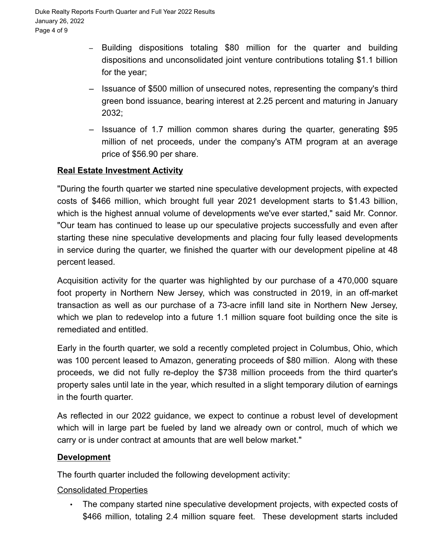- Building dispositions totaling \$80 million for the quarter and building dispositions and unconsolidated joint venture contributions totaling \$1.1 billion for the year;
- Issuance of \$500 million of unsecured notes, representing the company's third green bond issuance, bearing interest at 2.25 percent and maturing in January 2032;
- Issuance of 1.7 million common shares during the quarter, generating \$95 million of net proceeds, under the company's ATM program at an average price of \$56.90 per share.

## **Real Estate Investment Activity**

"During the fourth quarter we started nine speculative development projects, with expected costs of \$466 million, which brought full year 2021 development starts to \$1.43 billion, which is the highest annual volume of developments we've ever started," said Mr. Connor. "Our team has continued to lease up our speculative projects successfully and even after starting these nine speculative developments and placing four fully leased developments in service during the quarter, we finished the quarter with our development pipeline at 48 percent leased.

Acquisition activity for the quarter was highlighted by our purchase of a 470,000 square foot property in Northern New Jersey, which was constructed in 2019, in an off-market transaction as well as our purchase of a 73-acre infill land site in Northern New Jersey, which we plan to redevelop into a future 1.1 million square foot building once the site is remediated and entitled.

Early in the fourth quarter, we sold a recently completed project in Columbus, Ohio, which was 100 percent leased to Amazon, generating proceeds of \$80 million. Along with these proceeds, we did not fully re-deploy the \$738 million proceeds from the third quarter's property sales until late in the year, which resulted in a slight temporary dilution of earnings in the fourth quarter.

As reflected in our 2022 guidance, we expect to continue a robust level of development which will in large part be fueled by land we already own or control, much of which we carry or is under contract at amounts that are well below market."

## **Development**

The fourth quarter included the following development activity:

#### Consolidated Properties

• The company started nine speculative development projects, with expected costs of \$466 million, totaling 2.4 million square feet. These development starts included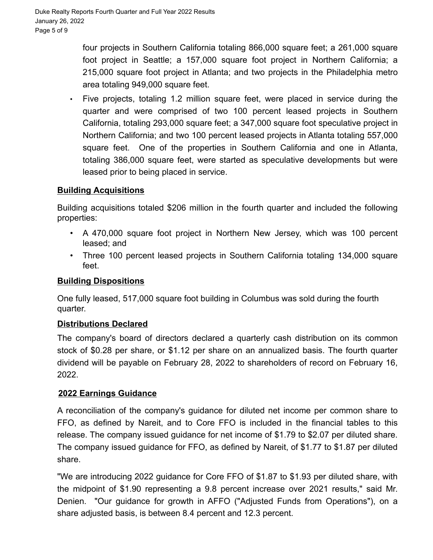four projects in Southern California totaling 866,000 square feet; a 261,000 square foot project in Seattle; a 157,000 square foot project in Northern California; a 215,000 square foot project in Atlanta; and two projects in the Philadelphia metro area totaling 949,000 square feet.

• Five projects, totaling 1.2 million square feet, were placed in service during the quarter and were comprised of two 100 percent leased projects in Southern California, totaling 293,000 square feet; a 347,000 square foot speculative project in Northern California; and two 100 percent leased projects in Atlanta totaling 557,000 square feet. One of the properties in Southern California and one in Atlanta, totaling 386,000 square feet, were started as speculative developments but were leased prior to being placed in service.

## **Building Acquisitions**

Building acquisitions totaled \$206 million in the fourth quarter and included the following properties:

- A 470,000 square foot project in Northern New Jersey, which was 100 percent leased; and
- Three 100 percent leased projects in Southern California totaling 134,000 square feet.

## **Building Dispositions**

One fully leased, 517,000 square foot building in Columbus was sold during the fourth quarter.

## **Distributions Declared**

The company's board of directors declared a quarterly cash distribution on its common stock of \$0.28 per share, or \$1.12 per share on an annualized basis. The fourth quarter dividend will be payable on February 28, 2022 to shareholders of record on February 16, 2022.

## **2022 Earnings Guidance**

A reconciliation of the company's guidance for diluted net income per common share to FFO, as defined by Nareit, and to Core FFO is included in the financial tables to this release. The company issued guidance for net income of \$1.79 to \$2.07 per diluted share. The company issued guidance for FFO, as defined by Nareit, of \$1.77 to \$1.87 per diluted share.

"We are introducing 2022 guidance for Core FFO of \$1.87 to \$1.93 per diluted share, with the midpoint of \$1.90 representing a 9.8 percent increase over 2021 results," said Mr. Denien. "Our guidance for growth in AFFO ("Adjusted Funds from Operations"), on a share adjusted basis, is between 8.4 percent and 12.3 percent.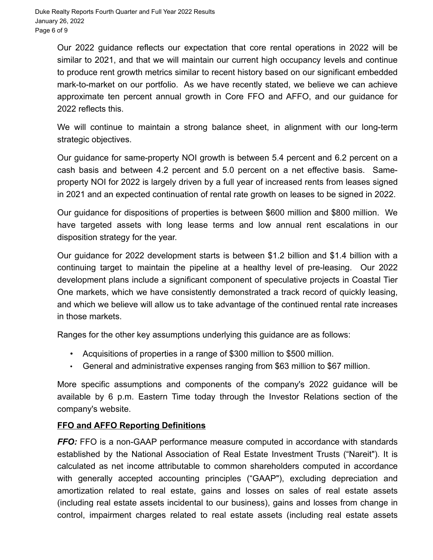Our 2022 guidance reflects our expectation that core rental operations in 2022 will be similar to 2021, and that we will maintain our current high occupancy levels and continue to produce rent growth metrics similar to recent history based on our significant embedded mark-to-market on our portfolio. As we have recently stated, we believe we can achieve approximate ten percent annual growth in Core FFO and AFFO, and our guidance for 2022 reflects this.

We will continue to maintain a strong balance sheet, in alignment with our long-term strategic objectives.

Our guidance for same-property NOI growth is between 5.4 percent and 6.2 percent on a cash basis and between 4.2 percent and 5.0 percent on a net effective basis. Sameproperty NOI for 2022 is largely driven by a full year of increased rents from leases signed in 2021 and an expected continuation of rental rate growth on leases to be signed in 2022.

Our guidance for dispositions of properties is between \$600 million and \$800 million. We have targeted assets with long lease terms and low annual rent escalations in our disposition strategy for the year.

Our guidance for 2022 development starts is between \$1.2 billion and \$1.4 billion with a continuing target to maintain the pipeline at a healthy level of pre-leasing. Our 2022 development plans include a significant component of speculative projects in Coastal Tier One markets, which we have consistently demonstrated a track record of quickly leasing, and which we believe will allow us to take advantage of the continued rental rate increases in those markets.

Ranges for the other key assumptions underlying this guidance are as follows:

- Acquisitions of properties in a range of \$300 million to \$500 million.
- General and administrative expenses ranging from \$63 million to \$67 million.

More specific assumptions and components of the company's 2022 guidance will be available by 6 p.m. Eastern Time today through the Investor Relations section of the company's website.

## **FFO and AFFO Reporting Definitions**

*FFO:* FFO is a non-GAAP performance measure computed in accordance with standards established by the National Association of Real Estate Investment Trusts ("Nareit"). It is calculated as net income attributable to common shareholders computed in accordance with generally accepted accounting principles ("GAAP"), excluding depreciation and amortization related to real estate, gains and losses on sales of real estate assets (including real estate assets incidental to our business), gains and losses from change in control, impairment charges related to real estate assets (including real estate assets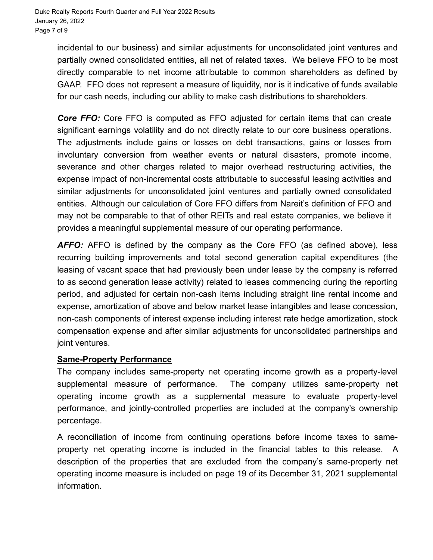incidental to our business) and similar adjustments for unconsolidated joint ventures and partially owned consolidated entities, all net of related taxes. We believe FFO to be most directly comparable to net income attributable to common shareholders as defined by GAAP. FFO does not represent a measure of liquidity, nor is it indicative of funds available for our cash needs, including our ability to make cash distributions to shareholders.

*Core FFO:* Core FFO is computed as FFO adjusted for certain items that can create significant earnings volatility and do not directly relate to our core business operations. The adjustments include gains or losses on debt transactions, gains or losses from involuntary conversion from weather events or natural disasters, promote income, severance and other charges related to major overhead restructuring activities, the expense impact of non-incremental costs attributable to successful leasing activities and similar adjustments for unconsolidated joint ventures and partially owned consolidated entities. Although our calculation of Core FFO differs from Nareit's definition of FFO and may not be comparable to that of other REITs and real estate companies, we believe it provides a meaningful supplemental measure of our operating performance.

**AFFO:** AFFO is defined by the company as the Core FFO (as defined above), less recurring building improvements and total second generation capital expenditures (the leasing of vacant space that had previously been under lease by the company is referred to as second generation lease activity) related to leases commencing during the reporting period, and adjusted for certain non-cash items including straight line rental income and expense, amortization of above and below market lease intangibles and lease concession, non-cash components of interest expense including interest rate hedge amortization, stock compensation expense and after similar adjustments for unconsolidated partnerships and joint ventures.

## **Same-Property Performance**

The company includes same-property net operating income growth as a property-level supplemental measure of performance. The company utilizes same-property net operating income growth as a supplemental measure to evaluate property-level performance, and jointly-controlled properties are included at the company's ownership percentage.

A reconciliation of income from continuing operations before income taxes to sameproperty net operating income is included in the financial tables to this release. A description of the properties that are excluded from the company's same-property net operating income measure is included on page 19 of its December 31, 2021 supplemental information.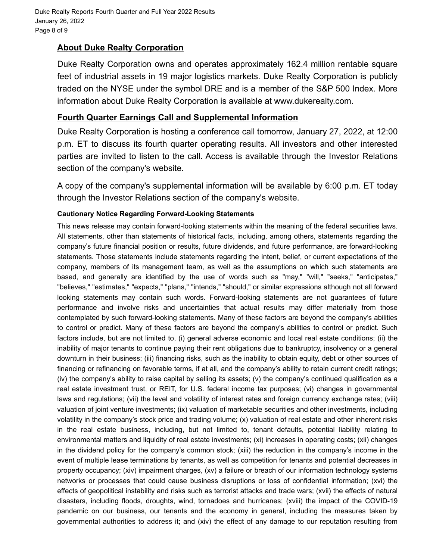## **About Duke Realty Corporation**

Duke Realty Corporation owns and operates approximately 162.4 million rentable square feet of industrial assets in 19 major logistics markets. Duke Realty Corporation is publicly traded on the NYSE under the symbol DRE and is a member of the S&P 500 Index. More information about Duke Realty Corporation is available at www.dukerealty.com.

#### **Fourth Quarter Earnings Call and Supplemental Information**

Duke Realty Corporation is hosting a conference call tomorrow, January 27, 2022, at 12:00 p.m. ET to discuss its fourth quarter operating results. All investors and other interested parties are invited to listen to the call. Access is available through the Investor Relations section of the company's website.

A copy of the company's supplemental information will be available by 6:00 p.m. ET today through the Investor Relations section of the company's website.

#### **Cautionary Notice Regarding Forward-Looking Statements**

This news release may contain forward-looking statements within the meaning of the federal securities laws. All statements, other than statements of historical facts, including, among others, statements regarding the company's future financial position or results, future dividends, and future performance, are forward-looking statements. Those statements include statements regarding the intent, belief, or current expectations of the company, members of its management team, as well as the assumptions on which such statements are based, and generally are identified by the use of words such as "may," "will," "seeks," "anticipates," "believes," "estimates," "expects," "plans," "intends," "should," or similar expressions although not all forward looking statements may contain such words. Forward-looking statements are not guarantees of future performance and involve risks and uncertainties that actual results may differ materially from those contemplated by such forward-looking statements. Many of these factors are beyond the company's abilities to control or predict. Many of these factors are beyond the company's abilities to control or predict. Such factors include, but are not limited to, (i) general adverse economic and local real estate conditions; (ii) the inability of major tenants to continue paying their rent obligations due to bankruptcy, insolvency or a general downturn in their business; (iii) financing risks, such as the inability to obtain equity, debt or other sources of financing or refinancing on favorable terms, if at all, and the company's ability to retain current credit ratings; (iv) the company's ability to raise capital by selling its assets; (v) the company's continued qualification as a real estate investment trust, or REIT, for U.S. federal income tax purposes; (vi) changes in governmental laws and regulations; (vii) the level and volatility of interest rates and foreign currency exchange rates; (viii) valuation of joint venture investments; (ix) valuation of marketable securities and other investments, including volatility in the company's stock price and trading volume; (x) valuation of real estate and other inherent risks in the real estate business, including, but not limited to, tenant defaults, potential liability relating to environmental matters and liquidity of real estate investments; (xi) increases in operating costs; (xii) changes in the dividend policy for the company's common stock; (xiii) the reduction in the company's income in the event of multiple lease terminations by tenants, as well as competition for tenants and potential decreases in property occupancy; (xiv) impairment charges, (xv) a failure or breach of our information technology systems networks or processes that could cause business disruptions or loss of confidential information; (xvi) the effects of geopolitical instability and risks such as terrorist attacks and trade wars; (xvii) the effects of natural disasters, including floods, droughts, wind, tornadoes and hurricanes; (xviii) the impact of the COVID-19 pandemic on our business, our tenants and the economy in general, including the measures taken by governmental authorities to address it; and (xiv) the effect of any damage to our reputation resulting from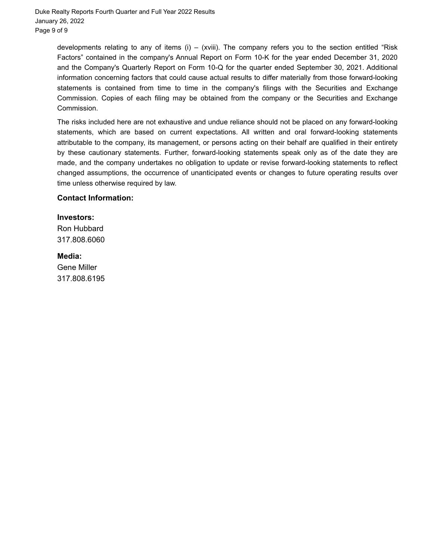developments relating to any of items (i) – (xviii). The company refers you to the section entitled "Risk Factors" contained in the company's Annual Report on Form 10-K for the year ended December 31, 2020 and the Company's Quarterly Report on Form 10-Q for the quarter ended September 30, 2021. Additional information concerning factors that could cause actual results to differ materially from those forward-looking statements is contained from time to time in the company's filings with the Securities and Exchange Commission. Copies of each filing may be obtained from the company or the Securities and Exchange Commission.

The risks included here are not exhaustive and undue reliance should not be placed on any forward-looking statements, which are based on current expectations. All written and oral forward-looking statements attributable to the company, its management, or persons acting on their behalf are qualified in their entirety by these cautionary statements. Further, forward-looking statements speak only as of the date they are made, and the company undertakes no obligation to update or revise forward-looking statements to reflect changed assumptions, the occurrence of unanticipated events or changes to future operating results over time unless otherwise required by law.

#### **Contact Information:**

# **Investors:**

Ron Hubbard 317.808.6060

#### **Media:**

Gene Miller 317.808.6195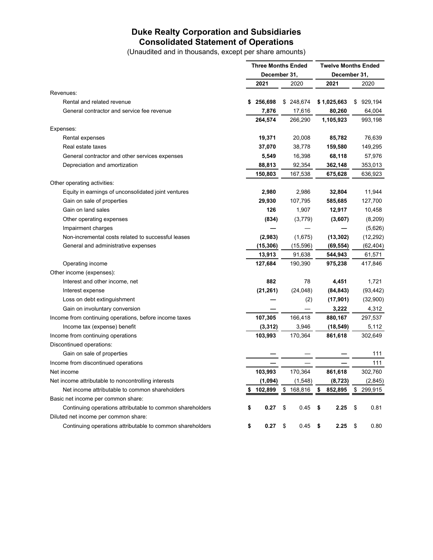#### **Duke Realty Corporation and Subsidiaries Consolidated Statement of Operations**

(Unaudited and in thousands, except per share amounts)

|                                                           | <b>Three Months Ended</b><br>December 31, |            |           | <b>Twelve Months Ended</b> |             |    |           |  |  |
|-----------------------------------------------------------|-------------------------------------------|------------|-----------|----------------------------|-------------|----|-----------|--|--|
|                                                           |                                           |            |           | December 31,               |             |    |           |  |  |
|                                                           | 2021                                      |            | 2020      |                            | 2021        |    | 2020      |  |  |
| Revenues:                                                 |                                           |            |           |                            |             |    |           |  |  |
| Rental and related revenue                                | 256,698                                   |            | \$248,674 |                            | \$1,025,663 | \$ | 929,194   |  |  |
| General contractor and service fee revenue                | 7,876                                     |            | 17,616    |                            | 80,260      |    | 64,004    |  |  |
|                                                           | 264,574                                   |            | 266,290   |                            | 1,105,923   |    | 993,198   |  |  |
| Expenses:                                                 |                                           |            |           |                            |             |    |           |  |  |
| Rental expenses                                           | 19,371                                    |            | 20,008    |                            | 85,782      |    | 76,639    |  |  |
| Real estate taxes                                         | 37,070                                    |            | 38,778    |                            | 159,580     |    | 149,295   |  |  |
| General contractor and other services expenses            | 5,549                                     |            | 16,398    |                            | 68,118      |    | 57,976    |  |  |
| Depreciation and amortization                             | 88,813                                    |            | 92,354    |                            | 362,148     |    | 353,013   |  |  |
|                                                           | 150,803                                   |            | 167,538   |                            | 675,628     |    | 636,923   |  |  |
| Other operating activities:                               |                                           |            |           |                            |             |    |           |  |  |
| Equity in earnings of unconsolidated joint ventures       | 2,980                                     |            | 2,986     |                            | 32,804      |    | 11,944    |  |  |
| Gain on sale of properties                                | 29,930                                    |            | 107,795   |                            | 585,685     |    | 127,700   |  |  |
| Gain on land sales                                        |                                           | 126        | 1,907     |                            | 12,917      |    | 10,458    |  |  |
| Other operating expenses                                  |                                           | (834)      | (3,779)   |                            | (3,607)     |    | (8,209)   |  |  |
| Impairment charges                                        |                                           |            |           |                            |             |    | (5,626)   |  |  |
| Non-incremental costs related to successful leases        | (2,983)                                   |            | (1,675)   |                            | (13, 302)   |    | (12, 292) |  |  |
| General and administrative expenses                       | (15, 306)                                 |            | (15, 596) |                            | (69, 554)   |    | (62, 404) |  |  |
|                                                           | 13,913                                    |            | 91,638    |                            | 544,943     |    | 61,571    |  |  |
| Operating income                                          | 127,684                                   |            | 190,390   |                            | 975,238     |    | 417,846   |  |  |
| Other income (expenses):                                  |                                           |            |           |                            |             |    |           |  |  |
| Interest and other income, net                            |                                           | 882        | 78        |                            | 4,451       |    | 1,721     |  |  |
| Interest expense                                          | (21, 261)                                 |            | (24, 048) |                            | (84, 843)   |    | (93, 442) |  |  |
| Loss on debt extinguishment                               |                                           |            | (2)       |                            | (17, 901)   |    | (32,900)  |  |  |
| Gain on involuntary conversion                            |                                           |            |           |                            | 3,222       |    | 4,312     |  |  |
| Income from continuing operations, before income taxes    | 107,305                                   |            | 166,418   |                            | 880,167     |    | 297,537   |  |  |
| Income tax (expense) benefit                              | (3, 312)                                  |            | 3,946     |                            | (18, 549)   |    | 5,112     |  |  |
| Income from continuing operations                         | 103,993                                   |            | 170,364   |                            | 861,618     |    | 302,649   |  |  |
| Discontinued operations:                                  |                                           |            |           |                            |             |    |           |  |  |
| Gain on sale of properties                                |                                           |            |           |                            |             |    | 111       |  |  |
| Income from discontinued operations                       |                                           |            |           |                            |             |    | 111       |  |  |
| Net income                                                | 103,993                                   |            | 170,364   |                            | 861,618     |    | 302,760   |  |  |
| Net income attributable to noncontrolling interests       | (1,094)                                   |            | (1,548)   |                            | (8, 723)    |    | (2,845)   |  |  |
| Net income attributable to common shareholders            | 102,899                                   | \$         | 168,816   | \$                         | 852,895     | \$ | 299,915   |  |  |
| Basic net income per common share:                        |                                           |            |           |                            |             |    |           |  |  |
| Continuing operations attributable to common shareholders | \$                                        | \$<br>0.27 | 0.45      | \$                         | 2.25        | \$ | 0.81      |  |  |
| Diluted net income per common share:                      |                                           |            |           |                            |             |    |           |  |  |
| Continuing operations attributable to common shareholders | \$                                        | 0.27<br>\$ | 0.45      | \$                         | 2.25        | \$ | 0.80      |  |  |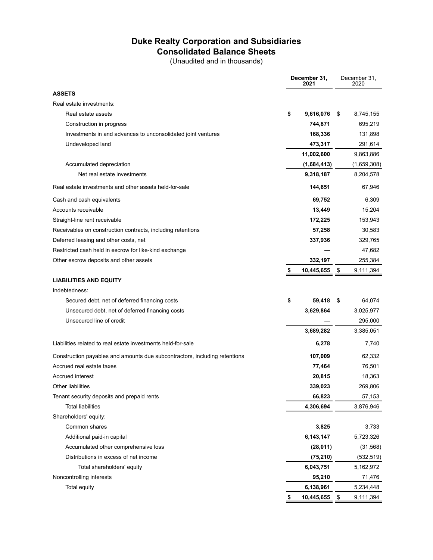# **Duke Realty Corporation and Subsidiaries Consolidated Balance Sheets**

(Unaudited and in thousands)

|                                                                            | December 31,<br>2021 |             | December 31,<br>2020 |             |  |
|----------------------------------------------------------------------------|----------------------|-------------|----------------------|-------------|--|
| <b>ASSETS</b>                                                              |                      |             |                      |             |  |
| Real estate investments:                                                   |                      |             |                      |             |  |
| Real estate assets                                                         | \$                   | 9,616,076   | \$                   | 8,745,155   |  |
| Construction in progress                                                   |                      | 744,871     |                      | 695,219     |  |
| Investments in and advances to unconsolidated joint ventures               |                      | 168,336     |                      | 131,898     |  |
| Undeveloped land                                                           |                      | 473,317     |                      | 291,614     |  |
|                                                                            |                      | 11,002,600  |                      | 9,863,886   |  |
| Accumulated depreciation                                                   |                      | (1,684,413) |                      | (1,659,308) |  |
| Net real estate investments                                                |                      | 9,318,187   |                      | 8,204,578   |  |
| Real estate investments and other assets held-for-sale                     |                      | 144,651     |                      | 67,946      |  |
| Cash and cash equivalents                                                  |                      | 69,752      |                      | 6,309       |  |
| Accounts receivable                                                        |                      | 13,449      |                      | 15,204      |  |
| Straight-line rent receivable                                              |                      | 172,225     |                      | 153,943     |  |
| Receivables on construction contracts, including retentions                |                      | 57,258      |                      | 30,583      |  |
| Deferred leasing and other costs, net                                      |                      | 337,936     |                      | 329,765     |  |
| Restricted cash held in escrow for like-kind exchange                      |                      |             |                      | 47,682      |  |
| Other escrow deposits and other assets                                     |                      | 332,197     |                      | 255,384     |  |
|                                                                            | S                    | 10,445,655  | \$                   | 9,111,394   |  |
| <b>LIABILITIES AND EQUITY</b>                                              |                      |             |                      |             |  |
| Indebtedness:                                                              |                      |             |                      |             |  |
| Secured debt, net of deferred financing costs                              | \$                   | 59,418      | S                    | 64,074      |  |
| Unsecured debt, net of deferred financing costs                            |                      | 3,629,864   |                      | 3,025,977   |  |
| Unsecured line of credit                                                   |                      |             |                      | 295,000     |  |
|                                                                            |                      | 3,689,282   |                      | 3,385,051   |  |
| Liabilities related to real estate investments held-for-sale               |                      | 6,278       |                      | 7,740       |  |
| Construction payables and amounts due subcontractors, including retentions |                      | 107,009     |                      | 62,332      |  |
| Accrued real estate taxes                                                  |                      | 77,464      |                      | 76,501      |  |
| <b>Accrued interest</b>                                                    |                      | 20,815      |                      | 18,363      |  |
| Other liabilities                                                          |                      | 339,023     |                      | 269,806     |  |
| Tenant security deposits and prepaid rents                                 |                      | 66,823      |                      | 57,153      |  |
| <b>Total liabilities</b>                                                   |                      | 4,306,694   |                      | 3,876,946   |  |
| Shareholders' equity:                                                      |                      |             |                      |             |  |
| Common shares                                                              |                      | 3,825       |                      | 3,733       |  |
| Additional paid-in capital                                                 |                      | 6,143,147   |                      | 5,723,326   |  |
| Accumulated other comprehensive loss                                       |                      | (28, 011)   |                      | (31, 568)   |  |
| Distributions in excess of net income                                      |                      | (75, 210)   |                      | (532, 519)  |  |
| Total shareholders' equity                                                 |                      | 6,043,751   |                      | 5,162,972   |  |
| Noncontrolling interests                                                   |                      | 95,210      |                      | 71,476      |  |
| Total equity                                                               |                      | 6,138,961   |                      | 5,234,448   |  |
|                                                                            | \$                   | 10,445,655  | \$                   | 9,111,394   |  |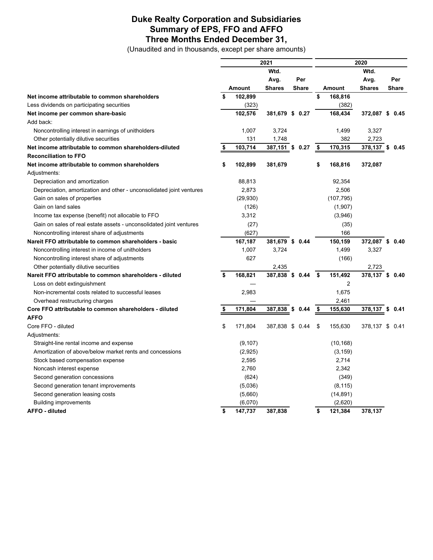#### **Duke Realty Corporation and Subsidiaries Summary of EPS, FFO and AFFO Three Months Ended December 31,**

(Unaudited and in thousands, except per share amounts)

|                                                                      |      | 2021      |                 |              | 2020           |                 |    |              |  |
|----------------------------------------------------------------------|------|-----------|-----------------|--------------|----------------|-----------------|----|--------------|--|
|                                                                      | Wtd. |           |                 |              | Wtd.           |                 |    |              |  |
|                                                                      |      |           | Avg.            | Per          |                | Avg.            |    | Per          |  |
|                                                                      |      | Amount    | <b>Shares</b>   | <b>Share</b> | <b>Amount</b>  | <b>Shares</b>   |    | <b>Share</b> |  |
| Net income attributable to common shareholders                       | \$   | 102,899   |                 |              | \$<br>168,816  |                 |    |              |  |
| Less dividends on participating securities                           |      | (323)     |                 |              | (382)          |                 |    |              |  |
| Net income per common share-basic                                    |      | 102,576   | 381,679 \$ 0.27 |              | 168,434        | 372,087 \$ 0.45 |    |              |  |
| Add back:                                                            |      |           |                 |              |                |                 |    |              |  |
| Noncontrolling interest in earnings of unitholders                   |      | 1,007     | 3,724           |              | 1,499          | 3,327           |    |              |  |
| Other potentially dilutive securities                                |      | 131       | 1,748           |              | 382            | 2,723           |    |              |  |
| Net income attributable to common shareholders-diluted               | \$   | 103,714   | 387,151         | 0.27<br>\$   | \$<br>170,315  | 378,137         | \$ | 0.45         |  |
| <b>Reconciliation to FFO</b>                                         |      |           |                 |              |                |                 |    |              |  |
| Net income attributable to common shareholders                       | S    | 102,899   | 381,679         |              | \$<br>168,816  | 372,087         |    |              |  |
| Adjustments:                                                         |      |           |                 |              |                |                 |    |              |  |
| Depreciation and amortization                                        |      | 88,813    |                 |              | 92,354         |                 |    |              |  |
| Depreciation, amortization and other - unconsolidated joint ventures |      | 2,873     |                 |              | 2,506          |                 |    |              |  |
| Gain on sales of properties                                          |      | (29, 930) |                 |              | (107, 795)     |                 |    |              |  |
| Gain on land sales                                                   |      | (126)     |                 |              | (1,907)        |                 |    |              |  |
| Income tax expense (benefit) not allocable to FFO                    |      | 3,312     |                 |              | (3,946)        |                 |    |              |  |
| Gain on sales of real estate assets - unconsolidated joint ventures  |      | (27)      |                 |              | (35)           |                 |    |              |  |
| Noncontrolling interest share of adjustments                         |      | (627)     |                 |              | 166            |                 |    |              |  |
| Nareit FFO attributable to common shareholders - basic               |      | 167,187   | 381,679 \$ 0.44 |              | 150,159        | 372,087 \$ 0.40 |    |              |  |
| Noncontrolling interest in income of unitholders                     |      | 1,007     | 3,724           |              | 1,499          | 3,327           |    |              |  |
| Noncontrolling interest share of adjustments                         |      | 627       |                 |              | (166)          |                 |    |              |  |
| Other potentially dilutive securities                                |      |           | 2,435           |              |                | 2,723           |    |              |  |
| Nareit FFO attributable to common shareholders - diluted             | \$   | 168,821   | 387,838 \$      | 0.44         | \$<br>151,492  | 378,137 \$ 0.40 |    |              |  |
| Loss on debt extinguishment                                          |      |           |                 |              | $\overline{2}$ |                 |    |              |  |
| Non-incremental costs related to successful leases                   |      | 2,983     |                 |              | 1,675          |                 |    |              |  |
| Overhead restructuring charges                                       |      |           |                 |              | 2,461          |                 |    |              |  |
| Core FFO attributable to common shareholders - diluted               | S    | 171,804   | 387,838         | 0.44<br>S.   | \$<br>155,630  | 378,137         | \$ | 0.41         |  |
| <b>AFFO</b>                                                          |      |           |                 |              |                |                 |    |              |  |
| Core FFO - diluted                                                   | \$   | 171,804   | 387,838 \$ 0.44 |              | \$<br>155,630  | 378,137 \$ 0.41 |    |              |  |
| Adjustments:                                                         |      |           |                 |              |                |                 |    |              |  |
| Straight-line rental income and expense                              |      | (9, 107)  |                 |              | (10, 168)      |                 |    |              |  |
| Amortization of above/below market rents and concessions             |      | (2,925)   |                 |              | (3, 159)       |                 |    |              |  |
| Stock based compensation expense                                     |      | 2,595     |                 |              | 2,714          |                 |    |              |  |
| Noncash interest expense                                             |      | 2,760     |                 |              | 2,342          |                 |    |              |  |
| Second generation concessions                                        |      | (624)     |                 |              | (349)          |                 |    |              |  |
| Second generation tenant improvements                                |      | (5,036)   |                 |              | (8, 115)       |                 |    |              |  |
| Second generation leasing costs                                      |      | (5,660)   |                 |              | (14, 891)      |                 |    |              |  |
| <b>Building improvements</b>                                         |      | (6,070)   |                 |              | (2,620)        |                 |    |              |  |
| AFFO - diluted                                                       | \$   | 147,737   | 387,838         |              | \$<br>121,384  | 378,137         |    |              |  |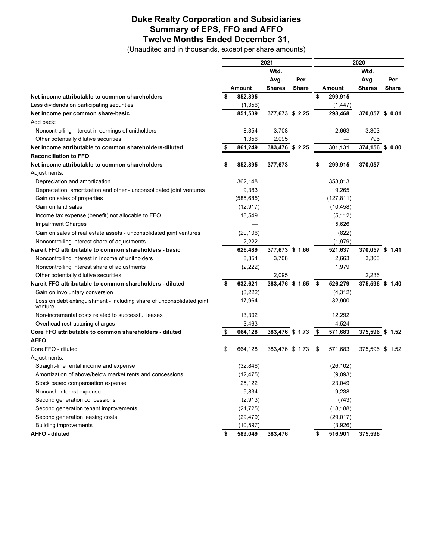#### **Duke Realty Corporation and Subsidiaries Summary of EPS, FFO and AFFO Twelve Months Ended December 31,**

(Unaudited and in thousands, except per share amounts)

|                                                                                  | 2021 |            |                 | 2020         |      |            |                 |              |
|----------------------------------------------------------------------------------|------|------------|-----------------|--------------|------|------------|-----------------|--------------|
|                                                                                  | Wtd. |            |                 | Wtd.         |      |            |                 |              |
|                                                                                  |      |            | Avg.            | Per          |      |            | Avg.            | Per          |
|                                                                                  |      | Amount     | <b>Shares</b>   | <b>Share</b> |      | Amount     | <b>Shares</b>   | <b>Share</b> |
| Net income attributable to common shareholders                                   | \$   | 852,895    |                 |              | \$   | 299,915    |                 |              |
| Less dividends on participating securities                                       |      | (1, 356)   |                 |              |      | (1, 447)   |                 |              |
| Net income per common share-basic                                                |      | 851,539    | 377,673 \$ 2.25 |              |      | 298,468    | 370,057 \$ 0.81 |              |
| Add back:                                                                        |      |            |                 |              |      |            |                 |              |
| Noncontrolling interest in earnings of unitholders                               |      | 8,354      | 3,708           |              |      | 2,663      | 3,303           |              |
| Other potentially dilutive securities                                            |      | 1,356      | 2,095           |              |      |            | 796             |              |
| Net income attributable to common shareholders-diluted                           |      | 861,249    | 383,476 \$2.25  |              |      | 301,131    | 374,156 \$ 0.80 |              |
| <b>Reconciliation to FFO</b>                                                     |      |            |                 |              |      |            |                 |              |
| Net income attributable to common shareholders                                   | \$   | 852,895    | 377,673         |              | \$   | 299,915    | 370,057         |              |
| Adjustments:                                                                     |      |            |                 |              |      |            |                 |              |
| Depreciation and amortization                                                    |      | 362,148    |                 |              |      | 353,013    |                 |              |
| Depreciation, amortization and other - unconsolidated joint ventures             |      | 9,383      |                 |              |      | 9,265      |                 |              |
| Gain on sales of properties                                                      |      | (585, 685) |                 |              |      | (127, 811) |                 |              |
| Gain on land sales                                                               |      | (12, 917)  |                 |              |      | (10, 458)  |                 |              |
| Income tax expense (benefit) not allocable to FFO                                |      | 18,549     |                 |              |      | (5, 112)   |                 |              |
| <b>Impairment Charges</b>                                                        |      |            |                 |              |      | 5,626      |                 |              |
| Gain on sales of real estate assets - unconsolidated joint ventures              |      | (20, 106)  |                 |              |      | (822)      |                 |              |
| Noncontrolling interest share of adjustments                                     |      | 2,222      |                 |              |      | (1,979)    |                 |              |
| Nareit FFO attributable to common shareholders - basic                           |      | 626,489    | 377,673 \$ 1.66 |              |      | 521,637    | 370,057 \$ 1.41 |              |
| Noncontrolling interest in income of unitholders                                 |      | 8,354      | 3,708           |              |      | 2,663      | 3,303           |              |
| Noncontrolling interest share of adjustments                                     |      | (2, 222)   |                 |              |      | 1,979      |                 |              |
| Other potentially dilutive securities                                            |      |            | 2,095           |              |      |            | 2,236           |              |
| Nareit FFO attributable to common shareholders - diluted                         | \$   | 632,621    | 383,476 \$1.65  |              | - \$ | 526,279    | 375,596 \$ 1.40 |              |
| Gain on involuntary conversion                                                   |      | (3,222)    |                 |              |      | (4, 312)   |                 |              |
| Loss on debt extinguishment - including share of unconsolidated joint<br>venture |      | 17,964     |                 |              |      | 32,900     |                 |              |
| Non-incremental costs related to successful leases                               |      | 13,302     |                 |              |      | 12,292     |                 |              |
| Overhead restructuring charges                                                   |      | 3,463      |                 |              |      | 4,524      |                 |              |
| Core FFO attributable to common shareholders - diluted                           | \$   | 664,128    | 383,476 \$ 1.73 |              | - \$ | 571,683    | 375,596 \$      | 1.52         |
| <b>AFFO</b>                                                                      |      |            |                 |              |      |            |                 |              |
| Core FFO - diluted                                                               | \$   | 664,128    | 383,476 \$1.73  |              | \$   | 571,683    | 375,596 \$ 1.52 |              |
| Adjustments:                                                                     |      |            |                 |              |      |            |                 |              |
| Straight-line rental income and expense                                          |      | (32, 846)  |                 |              |      | (26, 102)  |                 |              |
| Amortization of above/below market rents and concessions                         |      | (12, 475)  |                 |              |      | (9,093)    |                 |              |
| Stock based compensation expense                                                 |      | 25,122     |                 |              |      | 23,049     |                 |              |
| Noncash interest expense                                                         |      | 9,834      |                 |              |      | 9,238      |                 |              |
| Second generation concessions                                                    |      | (2,913)    |                 |              |      | (743)      |                 |              |
| Second generation tenant improvements                                            |      | (21, 725)  |                 |              |      | (18, 188)  |                 |              |
| Second generation leasing costs                                                  |      | (29, 479)  |                 |              |      | (29, 017)  |                 |              |
| <b>Building improvements</b>                                                     |      | (10, 597)  |                 |              |      | (3,926)    |                 |              |
| AFFO - diluted                                                                   | \$   | 589,049    | 383,476         |              | \$   | 516,901    | 375,596         |              |